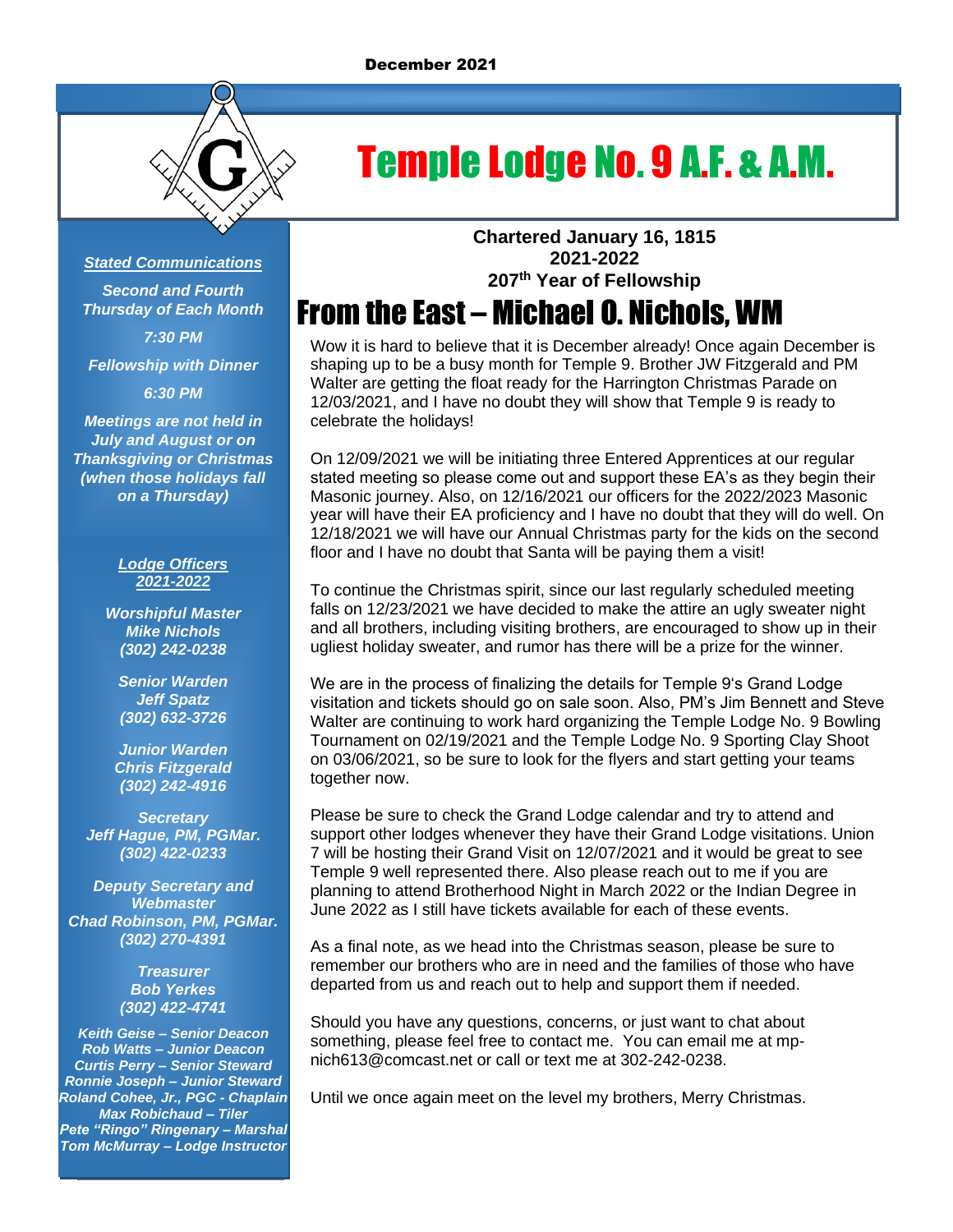

# Temple Lodge No. 9 A.F. & A.M.

### *Stated Communications*

*Second and Fourth Thursday of Each Month 7:30 PM*

*Fellowship with Dinner*

*6:30 PM*

*Meetings are not held in July and August or on Thanksgiving or Christmas (when those holidays fall on a Thursday)*

#### *Lodge Officers 2021-2022*

*Worshipful Master Mike Nichols (302) 242-0238*

*Senior Warden Jeff Spatz (302) 632-3726*

*Junior Warden Chris Fitzgerald (302) 242-4916*

*Secretary Jeff Hague, PM, PGMar. (302) 422-0233*

*Deputy Secretary and Webmaster Chad Robinson, PM, PGMar. (302) 270-4391*

> *Treasurer Bob Yerkes (302) 422-4741*

*Keith Geise – Senior Deacon Rob Watts – Junior Deacon Curtis Perry – Senior Steward Ronnie Joseph – Junior Steward Roland Cohee, Jr., PGC - Chaplain Max Robichaud – Tiler Pete "Ringo" Ringenary – Marshal Tom McMurray – Lodge Instructor*

**Chartered January 16, 1815 2021-2022 207 th Year of Fellowship**

## From the East – Michael O. Nichols, WM

Wow it is hard to believe that it is December already! Once again December is shaping up to be a busy month for Temple 9. Brother JW Fitzgerald and PM Walter are getting the float ready for the Harrington Christmas Parade on 12/03/2021, and I have no doubt they will show that Temple 9 is ready to celebrate the holidays!

On 12/09/2021 we will be initiating three Entered Apprentices at our regular stated meeting so please come out and support these EA's as they begin their Masonic journey. Also, on 12/16/2021 our officers for the 2022/2023 Masonic year will have their EA proficiency and I have no doubt that they will do well. On 12/18/2021 we will have our Annual Christmas party for the kids on the second floor and I have no doubt that Santa will be paying them a visit!

To continue the Christmas spirit, since our last regularly scheduled meeting falls on 12/23/2021 we have decided to make the attire an ugly sweater night and all brothers, including visiting brothers, are encouraged to show up in their ugliest holiday sweater, and rumor has there will be a prize for the winner.

We are in the process of finalizing the details for Temple 9's Grand Lodge visitation and tickets should go on sale soon. Also, PM's Jim Bennett and Steve Walter are continuing to work hard organizing the Temple Lodge No. 9 Bowling Tournament on 02/19/2021 and the Temple Lodge No. 9 Sporting Clay Shoot on 03/06/2021, so be sure to look for the flyers and start getting your teams together now.

Please be sure to check the Grand Lodge calendar and try to attend and support other lodges whenever they have their Grand Lodge visitations. Union 7 will be hosting their Grand Visit on 12/07/2021 and it would be great to see Temple 9 well represented there. Also please reach out to me if you are planning to attend Brotherhood Night in March 2022 or the Indian Degree in June 2022 as I still have tickets available for each of these events.

As a final note, as we head into the Christmas season, please be sure to remember our brothers who are in need and the families of those who have departed from us and reach out to help and support them if needed.

Should you have any questions, concerns, or just want to chat about something, please feel free to contact me. You can email me at mpnich613@comcast.net or call or text me at 302-242-0238.

Until we once again meet on the level my brothers, Merry Christmas.